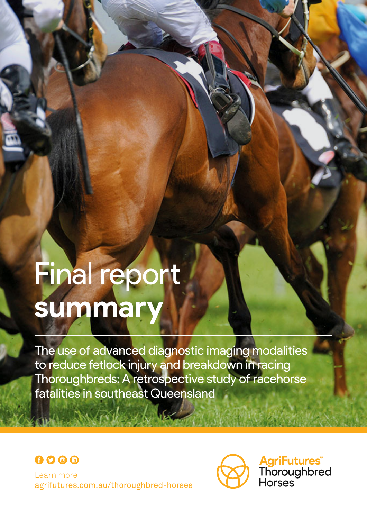# Final report **summary**

The use of advanced diagnostic imaging modalities to reduce fetlock injury and breakdown in racing Thoroughbreds: A retrospective study of racehorse fatalities in southeast Queensland





**AgriFutures<sup>®</sup>**<br>Thoroughbred<br>Horses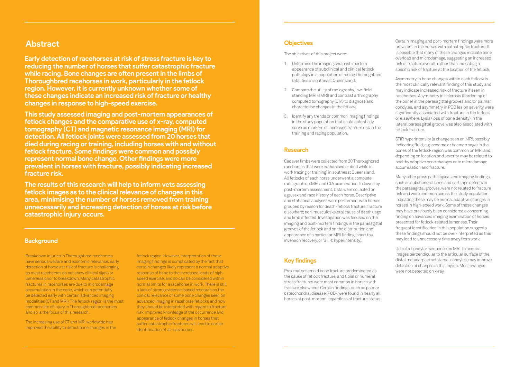## **Objectives**

The objectives of this project were:

- 1. Determine the imaging and post-mortem appearance of subclinical and clinical fetlock pathology in a population of racing Thoroughbred fatalities in southeast Queensland.
- 2. Compare the utility of radiography, low-field standing MRI (sMRI) and contrast arthrography computed tomography (CTA) to diagnose and characterise changes in the fetlock.
- 3. Identify any trends or common imaging findings in the study population that could potentially serve as markers of increased fracture risk in the training and racing population.

#### **Research**

Cadaver limbs were collected from 20 Thoroughbred racehorses that were euthanised or died while in work (racing or training) in southeast Queensland. All fetlocks of each horse underwent a complete radiographic, sMRI and CTA examination, followed by post-mortem assessment. Data were collected on age, sex and race history of each horse. Descriptive and statistical analyses were performed, with horses grouped by reason for death (fetlock fracture; fracture elsewhere; non-musculoskeletal cause of death), age and limb affected. Investigation was focused on the imaging and post-mortem findings in the parasagittal grooves of the fetlock and on the distribution and appearance of a particular MRI finding (short tau inversion recovery, or 'STIR', hyperintensity).

## **Key findings**

Proximal sesamoid bone fracture predominated as the cause of fetlock fracture, and tibial or humeral stress fractures were most common in horses with fracture elsewhere. Certain findings, such as palmar osteochondral disease (POD), were found in nearly all horses at post-mortem, regardless of fracture status.

**Early detection of racehorses at risk of stress fracture is key to reducing the number of horses that suffer catastrophic fracture while racing. Bone changes are often present in the limbs of Thoroughbred racehorses in work, particularly in the fetlock region. However, it is currently unknown whether some of these changes indicate an increased risk of fracture or healthy changes in response to high-speed exercise.** 

**This study assessed imaging and post-mortem appearances of fetlock changes and the comparative use of x-ray, computed tomography (CT) and magnetic resonance imaging (MRI) for detection. All fetlock joints were assessed from 20 horses that died during racing or training, including horses with and without fetlock fracture. Some findings were common and possibly represent normal bone change. Other findings were more prevalent in horses with fracture, possibly indicating increased fracture risk.**

**The results of this research will help to inform vets assessing fetlock images as to the clinical relevance of changes in this area, minimising the number of horses removed from training unnecessarily and increasing detection of horses at risk before catastrophic injury occurs.** 

# **Abstract**

Breakdown injuries in Thoroughbred racehorses have serious welfare and economic relevance. Early detection of horses at risk of fracture is challenging as most racehorses do not show clinical signs or lameness prior to breakdown. Many catastrophic fractures in racehorses are due to microdamage accumulation in the bone, which can potentially be detected early with certain advanced imaging modalities (CT and MRI). The fetlock region is the most common site of injury in Thoroughbred racehorses and so is the focus of this research.

The increasing use of CT and MRI worldwide has improved the ability to detect bone changes in the

#### **Background**

Certain imaging and port-mortem findings were more prevalent in the horses with catastrophic fracture. It is possible that many of these changes indicate bone overload and microdamage, suggesting an increased risk of fracture overall, rather than indicating a specific risk of fracture at the location of the fetlock.

Asymmetry in bone changes within each fetlock is the most clinically relevant finding of this study and may indicate increased risk of fracture if seen in racehorses. Asymmetry in sclerosis (hardening of the bone) in the parasagittal grooves and/or palmar condyles, and asymmetry in POD lesion severity were significantly associated with fracture in the fetlock or elsewhere. Lysis (loss of bone density) in the lateral parasagittal groove was also associated with fetlock fracture.

STIR hyperintensity (a change seen on MRI, possibly indicating fluid, e.g. oedema or haemorrhage) in the bones of the fetlock region was common on MRI and, depending on location and severity, may be related to healthy adaptive bone changes or to microdamage accumulation and fracture.

Many other gross pathological and imaging findings, such as subchondral bone and cartilage defects in the parasagittal grooves, were not related to fracture risk and were common across the study population, indicating these may be normal adaptive changes in horses in high-speed work. Some of these changes may have previously been considered a concerning finding on advanced imaging examination of horses presented for fetlock-related lameness. Their frequent identification in this population suggests these findings should not be over-interpreted as this may lead to unnecessary time away from work.

Use of a 'condylar' sequence on MRI, to acquire images perpendicular to the articular surface of the distal metacarpal/metatarsal condyles, may improve detection of changes in this region. Most changes were not detected on x-ray.

fetlock region. However, interpretation of these imaging findings is complicated by the fact that certain changes likely represent a normal adaptive response of bone to the increased loads of highspeed exercise, and so can be considered within normal limits for a racehorse in work. There is still a lack of strong evidence-based research on the clinical relevance of some bone changes seen on advanced imaging in racehorse fetlocks and how they should be interpreted with regard to fracture risk. Improved knowledge of the occurrence and appearance of fetlock changes in horses that suffer catastrophic fractures will lead to earlier identification of at-risk horses.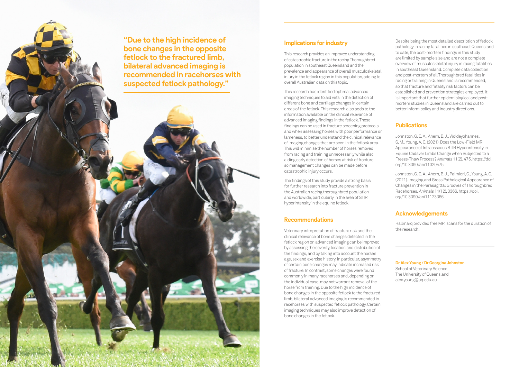## **Implications for industry**

This research provides an improved understanding of catastrophic fracture in the racing Thoroughbred population in southeast Queensland and the prevalence and appearance of overall musculoskeletal injury in the fetlock region in this population, adding to overall Australian data on this topic.

This research has identified optimal advanced imaging techniques to aid vets in the detection of different bone and cartilage changes in certain areas of the fetlock. This research also adds to the information available on the clinical relevance of advanced imaging findings in the fetlock. These findings can be used in fracture screening protocols and when assessing horses with poor performance or lameness, to better understand the clinical relevance of imaging changes that are seen in the fetlock area. This will minimise the number of horses removed from racing and training unnecessarily while also aiding early detection of horses at risk of fracture so management changes can be made before catastrophic injury occurs.

The findings of this study provide a strong basis for further research into fracture prevention in the Australian racing thoroughbred population and worldwide, particularly in the area of STIR hyperintensity in the equine fetlock.

## **Recommendations**

Veterinary interpretation of fracture risk and the clinical relevance of bone changes detected in the fetlock region on advanced imaging can be improved by assessing the severity, location and distribution of the findings, and by taking into account the horse's age, sex and exercise history. In particular, asymmetry of certain bone changes may indicate increased risk of fracture. In contrast, some changes were found commonly in many racehorses and, depending on the individual case, may not warrant removal of the horse from training. Due to the high incidence of bone changes in the opposite fetlock to the fractured limb, bilateral advanced imaging is recommended in racehorses with suspected fetlock pathology. Certain imaging techniques may also improve detection of bone changes in the fetlock.

Despite being the most detailed description of fetlock pathology in racing fatalities in southeast Queensland to date, the post-mortem findings in this study are limited by sample size and are not a complete overview of musculoskeletal injury in racing fatalities in southeast Queensland. Complete data collection and post-mortem of all Thoroughbred fatalities in racing or training in Queensland is recommended, so that fracture and fatality risk factors can be established and prevention strategies employed. It is important that further epidemiological and postmortem studies in Queensland are carried out to better inform policy and industry directions.

## **Publications**

Johnston, G. C. A., Ahern, B. J., Woldeyohannes, S. M., Young, A. C. (2021). Does the Low-Field MRI Appearance of Intraosseous STIR Hyperintensity in Equine Cadaver Limbs Change when Subjected to a Freeze-Thaw Process? Animals 11(2), 475. [https://doi.](https://doi.org/10.3390/ani11020475) [org/10.3390/ani11020475](https://doi.org/10.3390/ani11020475)

Johnston, G. C. A., Ahern, B. J., Palmieri, C., Young, A. C. (2021). Imaging and Gross Pathological Appearance of Changes in the Parasagittal Grooves of Thoroughbred Racehorses. Animals 11(12), 3366. [https://doi.](https://doi.org/10.3390/ani11123366 ) [org/10.3390/ani11123366](https://doi.org/10.3390/ani11123366 ) 

## **Acknowledgements**

Hallmarq provided free MRI scans for the duration of the research.

**Dr Alex Young / Dr Georgina Johnston**

School of Veterinary Science The University of Queensland alex.young@uq.edu.au

**"Due to the high incidence of bone changes in the opposite fetlock to the fractured limb, bilateral advanced imaging is recommended in racehorses with suspected fetlock pathology."**